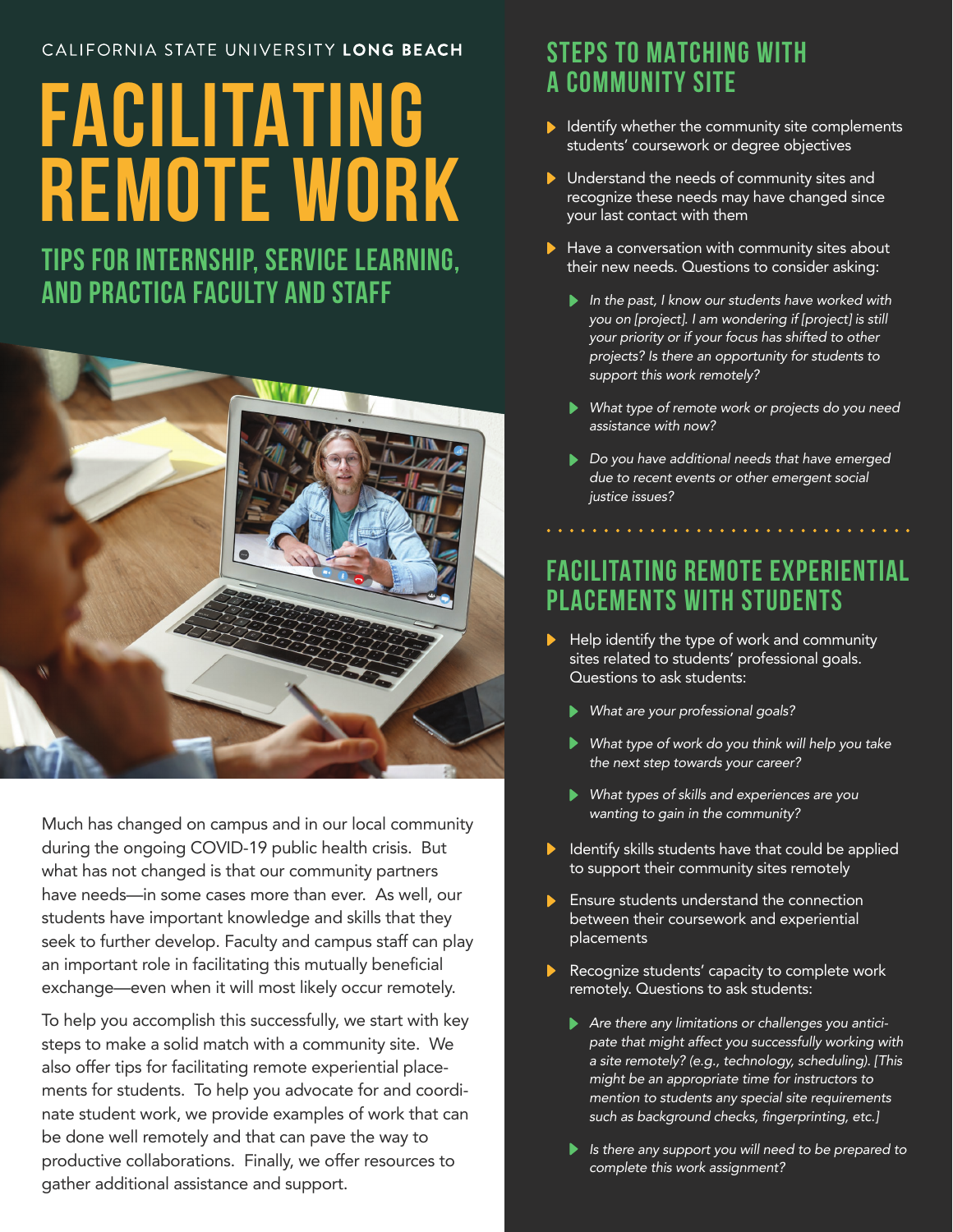#### CALIFORNIA STATE UNIVERSITY LONG BEACH

# **FACILITATING REMOTE WORK**

**TIPS FOR INTERNSHIP, SERVICE LEARNING, AND PRACTICA FACULTY AND STAFF** 



Much has changed on campus and in our local community during the ongoing COVID-19 public health crisis. But what has not changed is that our community partners have needs—in some cases more than ever. As well, our students have important knowledge and skills that they seek to further develop. Faculty and campus staff can play an important role in facilitating this mutually beneficial exchange—even when it will most likely occur remotely.

To help you accomplish this successfully, we start with key steps to make a solid match with a community site. We also offer tips for facilitating remote experiential placements for students. To help you advocate for and coordinate student work, we provide examples of work that can be done well remotely and that can pave the way to productive collaborations. Finally, we offer resources to gather additional assistance and support.

# **STEPS TO MATCHING WITH A COMMUNITY SITE**

- $\blacktriangleright$  Identify whether the community site complements students' coursework or degree objectives
- **ID** Understand the needs of community sites and recognize these needs may have changed since your last contact with them
- $\blacktriangleright$  Have a conversation with community sites about their new needs. Questions to consider asking:
	- *In the past, I know our students have worked with you on [project]. I am wondering if [project] is still your priority or if your focus has shifted to other projects? Is there an opportunity for students to support this work remotely?*
	- *What type of remote work or projects do you need assistance with now?*
	- *Do you have additional needs that have emerged due to recent events or other emergent social justice issues?*

# **FACILITATING REMOTE EXPERIENTIAL PLACEMENTS WITH STUDENTS**

- Help identify the type of work and community sites related to students' professional goals. Questions to ask students:
	- *What are your professional goals?*
	- *What type of work do you think will help you take the next step towards your career?*
	- *What types of skills and experiences are you wanting to gain in the community?*
- $\blacktriangleright$  Identify skills students have that could be applied to support their community sites remotely
- **Ensure students understand the connection** between their coursework and experiential placements
- Recognize students' capacity to complete work remotely. Questions to ask students:
	- *Are there any limitations or challenges you anticipate that might affect you successfully working with a site remotely? (e.g., technology, scheduling). [This might be an appropriate time for instructors to mention to students any special site requirements such as background checks, fingerprinting, etc.]*
	- *Is there any support you will need to be prepared to complete this work assignment?*